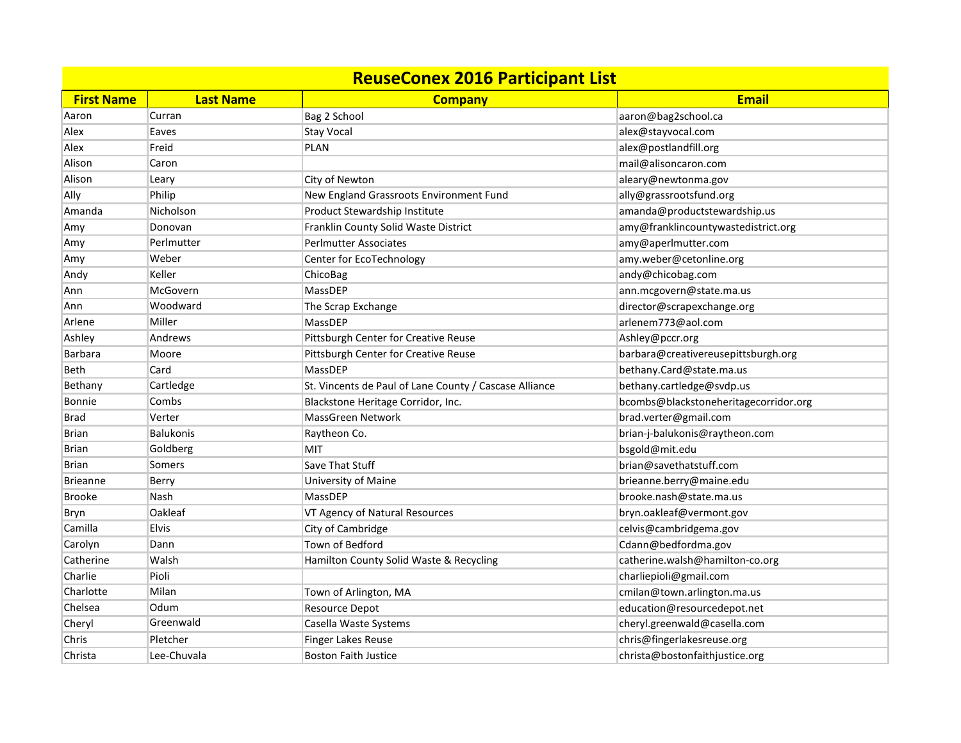| <b>ReuseConex 2016 Participant List</b> |                  |                                                        |                                       |
|-----------------------------------------|------------------|--------------------------------------------------------|---------------------------------------|
| <b>First Name</b>                       | <b>Last Name</b> | <b>Company</b>                                         | <b>Email</b>                          |
| Aaron                                   | Curran           | Bag 2 School                                           | aaron@bag2school.ca                   |
| Alex                                    | Eaves            | <b>Stay Vocal</b>                                      | alex@stayvocal.com                    |
| Alex                                    | Freid            | <b>PLAN</b>                                            | alex@postlandfill.org                 |
| Alison                                  | Caron            |                                                        | mail@alisoncaron.com                  |
| Alison                                  | Leary            | City of Newton                                         | aleary@newtonma.gov                   |
| Ally                                    | Philip           | New England Grassroots Environment Fund                | ally@grassrootsfund.org               |
| Amanda                                  | Nicholson        | Product Stewardship Institute                          | amanda@productstewardship.us          |
| Amy                                     | Donovan          | Franklin County Solid Waste District                   | amy@franklincountywastedistrict.org   |
| Amy                                     | Perlmutter       | <b>Perlmutter Associates</b>                           | amy@aperlmutter.com                   |
| Amy                                     | Weber            | Center for EcoTechnology                               | amy.weber@cetonline.org               |
| Andy                                    | Keller           | ChicoBag                                               | andy@chicobag.com                     |
| Ann                                     | McGovern         | MassDEP                                                | ann.mcgovern@state.ma.us              |
| Ann                                     | Woodward         | The Scrap Exchange                                     | director@scrapexchange.org            |
| Arlene                                  | Miller           | MassDEP                                                | arlenem773@aol.com                    |
| Ashley                                  | Andrews          | Pittsburgh Center for Creative Reuse                   | Ashley@pccr.org                       |
| Barbara                                 | Moore            | Pittsburgh Center for Creative Reuse                   | barbara@creativereusepittsburgh.org   |
| Beth                                    | Card             | MassDEP                                                | bethany.Card@state.ma.us              |
| Bethany                                 | Cartledge        | St. Vincents de Paul of Lane County / Cascase Alliance | bethany.cartledge@svdp.us             |
| <b>Bonnie</b>                           | Combs            | Blackstone Heritage Corridor, Inc.                     | bcombs@blackstoneheritagecorridor.org |
| Brad                                    | Verter           | <b>MassGreen Network</b>                               | brad.verter@gmail.com                 |
| Brian                                   | <b>Balukonis</b> | Raytheon Co.                                           | brian-j-balukonis@raytheon.com        |
| Brian                                   | Goldberg         | <b>MIT</b>                                             | bsgold@mit.edu                        |
| Brian                                   | Somers           | Save That Stuff                                        | brian@savethatstuff.com               |
| <b>Brieanne</b>                         | Berry            | University of Maine                                    | brieanne.berry@maine.edu              |
| <b>Brooke</b>                           | Nash             | MassDEP                                                | brooke.nash@state.ma.us               |
| Bryn                                    | Oakleaf          | VT Agency of Natural Resources                         | bryn.oakleaf@vermont.gov              |
| Camilla                                 | Elvis            | City of Cambridge                                      | celvis@cambridgema.gov                |
| Carolyn                                 | Dann             | Town of Bedford                                        | Cdann@bedfordma.gov                   |
| Catherine                               | Walsh            | Hamilton County Solid Waste & Recycling                | catherine.walsh@hamilton-co.org       |
| Charlie                                 | Pioli            |                                                        | charliepioli@gmail.com                |
| Charlotte                               | Milan            | Town of Arlington, MA                                  | cmilan@town.arlington.ma.us           |
| Chelsea                                 | Odum             | Resource Depot                                         | education@resourcedepot.net           |
| Cheryl                                  | Greenwald        | Casella Waste Systems                                  | cheryl.greenwald@casella.com          |
| Chris                                   | Pletcher         | Finger Lakes Reuse                                     | chris@fingerlakesreuse.org            |
| Christa                                 | Lee-Chuvala      | Boston Faith Justice                                   | christa@bostonfaithjustice.org        |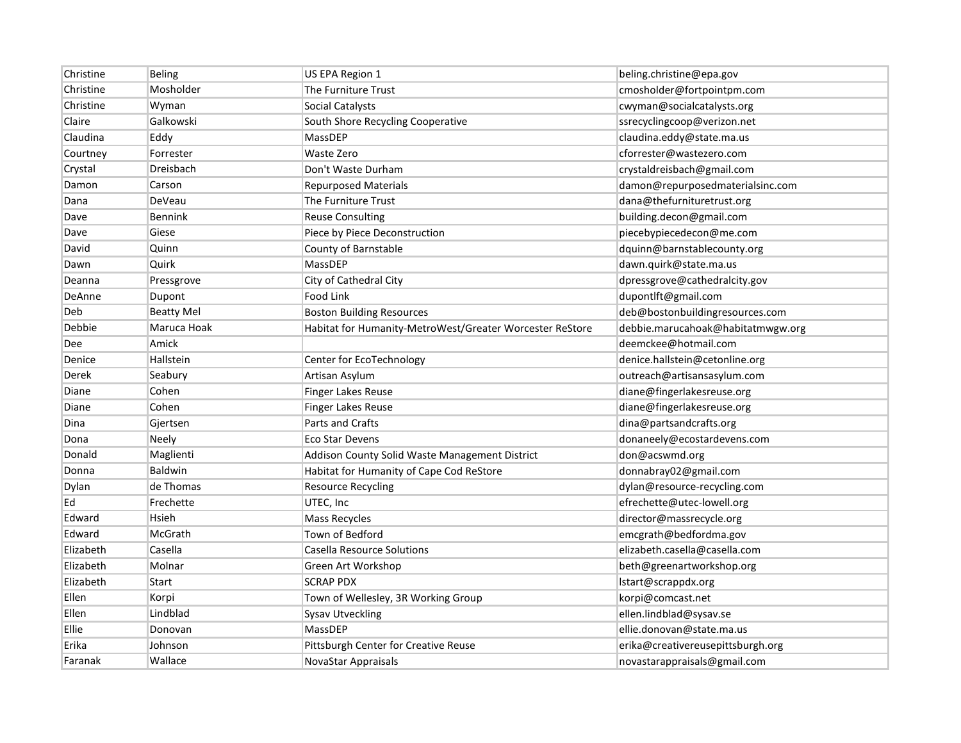| Christine  | Beling            | US EPA Region 1                                          | beling.christine@epa.gov          |
|------------|-------------------|----------------------------------------------------------|-----------------------------------|
| Christine  | Mosholder         | The Furniture Trust                                      | cmosholder@fortpointpm.com        |
| Christine  | Wyman             | Social Catalysts                                         | cwyman@socialcatalysts.org        |
| Claire     | Galkowski         | South Shore Recycling Cooperative                        | ssrecyclingcoop@verizon.net       |
| Claudina   | Eddy              | MassDEP                                                  | claudina.eddy@state.ma.us         |
| Courtney   | Forrester         | <b>Waste Zero</b>                                        | cforrester@wastezero.com          |
| Crystal    | Dreisbach         | Don't Waste Durham                                       | crystaldreisbach@gmail.com        |
| Damon      | Carson            | <b>Repurposed Materials</b>                              | damon@repurposedmaterialsinc.com  |
| Dana       | DeVeau            | The Furniture Trust                                      | dana@thefurnituretrust.org        |
| Dave       | Bennink           | <b>Reuse Consulting</b>                                  | building.decon@gmail.com          |
| Dave       | Giese             | Piece by Piece Deconstruction                            | piecebypiecedecon@me.com          |
| David      | Quinn             | County of Barnstable                                     | dquinn@barnstablecounty.org       |
| Dawn       | Quirk             | MassDEP                                                  | dawn.quirk@state.ma.us            |
| Deanna     | Pressgrove        | City of Cathedral City                                   | dpressgrove@cathedralcity.gov     |
| DeAnne     | Dupont            | Food Link                                                | dupontlft@gmail.com               |
| Deb        | <b>Beatty Mel</b> | <b>Boston Building Resources</b>                         | deb@bostonbuildingresources.com   |
| Debbie     | Maruca Hoak       | Habitat for Humanity-MetroWest/Greater Worcester ReStore | debbie.marucahoak@habitatmwgw.org |
| <b>Dee</b> | Amick             |                                                          | deemckee@hotmail.com              |
| Denice     | Hallstein         | Center for EcoTechnology                                 | denice.hallstein@cetonline.org    |
| Derek      | Seabury           | Artisan Asylum                                           | outreach@artisansasylum.com       |
| Diane      | Cohen             | Finger Lakes Reuse                                       | diane@fingerlakesreuse.org        |
| Diane      | Cohen             | Finger Lakes Reuse                                       | diane@fingerlakesreuse.org        |
| Dina       | Gjertsen          | Parts and Crafts                                         | dina@partsandcrafts.org           |
| Dona       | Neely             | <b>Eco Star Devens</b>                                   | donaneely@ecostardevens.com       |
| Donald     | Maglienti         | Addison County Solid Waste Management District           | don@acswmd.org                    |
| Donna      | <b>Baldwin</b>    | Habitat for Humanity of Cape Cod ReStore                 | donnabray02@gmail.com             |
| Dylan      | de Thomas         | <b>Resource Recycling</b>                                | dylan@resource-recycling.com      |
| Ed         | Frechette         | UTEC, Inc                                                | efrechette@utec-lowell.org        |
| Edward     | Hsieh             | <b>Mass Recycles</b>                                     | director@massrecycle.org          |
| Edward     | McGrath           | Town of Bedford                                          | emcgrath@bedfordma.gov            |
| Elizabeth  | Casella           | Casella Resource Solutions                               | elizabeth.casella@casella.com     |
| Elizabeth  | Molnar            | Green Art Workshop                                       | beth@greenartworkshop.org         |
| Elizabeth  | <b>Start</b>      | <b>SCRAP PDX</b>                                         | Istart@scrappdx.org               |
| Ellen      | Korpi             | Town of Wellesley, 3R Working Group                      | korpi@comcast.net                 |
| Ellen      | Lindblad          | <b>Sysav Utveckling</b>                                  | ellen.lindblad@sysav.se           |
| Ellie      | Donovan           | MassDEP                                                  | ellie.donovan@state.ma.us         |
| Erika      | Johnson           | Pittsburgh Center for Creative Reuse                     | erika@creativereusepittsburgh.org |
| Faranak    | Wallace           | NovaStar Appraisals                                      | novastarappraisals@gmail.com      |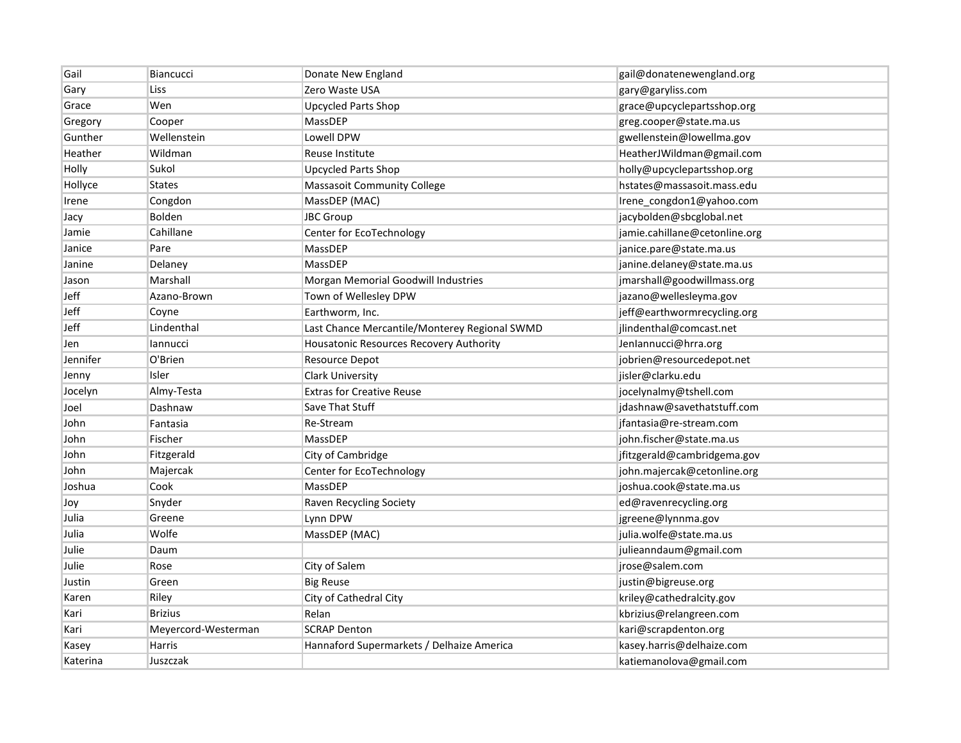| Gail     | <b>Biancucci</b>    | Donate New England                            | gail@donatenewengland.org     |
|----------|---------------------|-----------------------------------------------|-------------------------------|
| Gary     | Liss                | Zero Waste USA                                | gary@garyliss.com             |
| Grace    | Wen                 | <b>Upcycled Parts Shop</b>                    | grace@upcyclepartsshop.org    |
| Gregory  | Cooper              | MassDEP                                       | greg.cooper@state.ma.us       |
| Gunther  | Wellenstein         | Lowell DPW                                    | gwellenstein@lowellma.gov     |
| Heather  | Wildman             | Reuse Institute                               | HeatherJWildman@gmail.com     |
| Holly    | Sukol               | <b>Upcycled Parts Shop</b>                    | holly@upcyclepartsshop.org    |
| Hollyce  | <b>States</b>       | <b>Massasoit Community College</b>            | hstates@massasoit.mass.edu    |
| Irene    | Congdon             | MassDEP (MAC)                                 | Irene_congdon1@yahoo.com      |
| Jacy     | Bolden              | JBC Group                                     | jacybolden@sbcglobal.net      |
| Jamie    | Cahillane           | Center for EcoTechnology                      | jamie.cahillane@cetonline.org |
| Janice   | Pare                | MassDEP                                       | janice.pare@state.ma.us       |
| Janine   | Delaney             | MassDEP                                       | janine.delaney@state.ma.us    |
| Jason    | Marshall            | Morgan Memorial Goodwill Industries           | jmarshall@goodwillmass.org    |
| Jeff     | Azano-Brown         | Town of Wellesley DPW                         | jazano@wellesleyma.gov        |
| Jeff     | Coyne               | Earthworm, Inc.                               | jeff@earthwormrecycling.org   |
| Jeff     | Lindenthal          | Last Chance Mercantile/Monterey Regional SWMD | jlindenthal@comcast.net       |
| Jen      | lannucci            | Housatonic Resources Recovery Authority       | Jenlannucci@hrra.org          |
| Jennifer | O'Brien             | <b>Resource Depot</b>                         | jobrien@resourcedepot.net     |
| Jenny    | Isler               | <b>Clark University</b>                       | jisler@clarku.edu             |
| Jocelyn  | Almy-Testa          | <b>Extras for Creative Reuse</b>              | jocelynalmy@tshell.com        |
| Joel     | Dashnaw             | Save That Stuff                               | jdashnaw@savethatstuff.com    |
| John     | Fantasia            | Re-Stream                                     | jfantasia@re-stream.com       |
| John     | Fischer             | MassDEP                                       | john.fischer@state.ma.us      |
| John     | Fitzgerald          | City of Cambridge                             | jfitzgerald@cambridgema.gov   |
| John     | Majercak            | Center for EcoTechnology                      | john.majercak@cetonline.org   |
| Joshua   | Cook                | MassDEP                                       | joshua.cook@state.ma.us       |
| Joy      | Snyder              | Raven Recycling Society                       | ed@ravenrecycling.org         |
| Julia    | Greene              | Lynn DPW                                      | jgreene@lynnma.gov            |
| Julia    | Wolfe               | MassDEP (MAC)                                 | julia.wolfe@state.ma.us       |
| Julie    | Daum                |                                               | julieanndaum@gmail.com        |
| Julie    | Rose                | City of Salem                                 | jrose@salem.com               |
| Justin   | Green               | <b>Big Reuse</b>                              | justin@bigreuse.org           |
| Karen    | Riley               | City of Cathedral City                        | kriley@cathedralcity.gov      |
| Kari     | <b>Brizius</b>      | Relan                                         | kbrizius@relangreen.com       |
| Kari     | Meyercord-Westerman | <b>SCRAP Denton</b>                           | kari@scrapdenton.org          |
| Kasey    | Harris              | Hannaford Supermarkets / Delhaize America     | kasey.harris@delhaize.com     |
| Katerina | Juszczak            |                                               | katiemanolova@gmail.com       |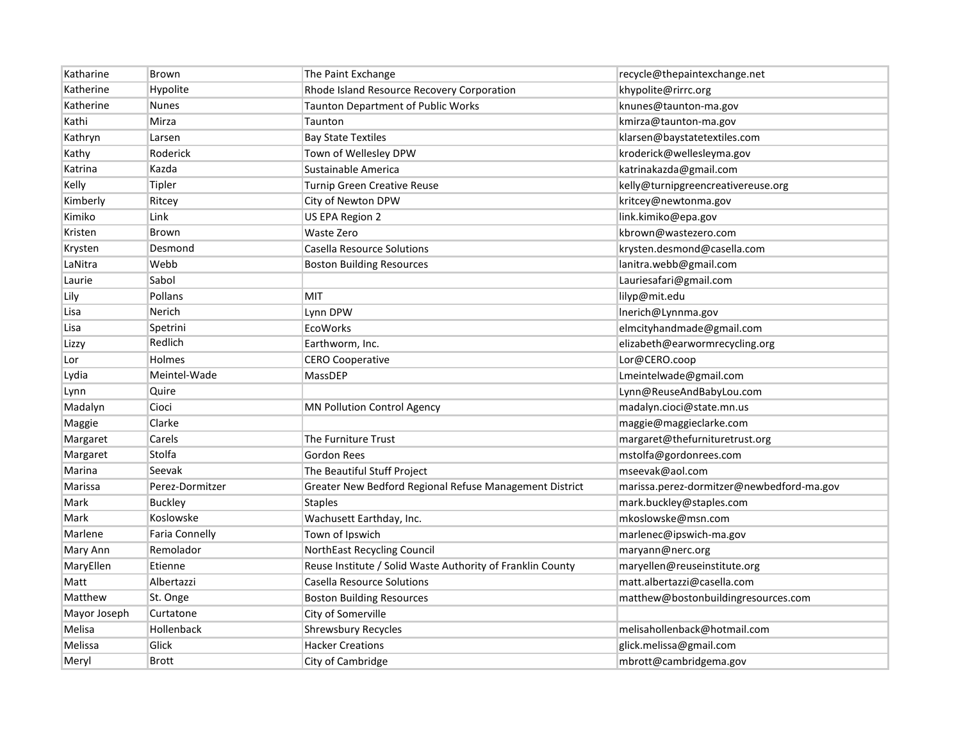| Katharine    | Brown                 | The Paint Exchange                                         | recycle@thepaintexchange.net              |
|--------------|-----------------------|------------------------------------------------------------|-------------------------------------------|
| Katherine    | Hypolite              | Rhode Island Resource Recovery Corporation                 | khypolite@rirrc.org                       |
| Katherine    | <b>Nunes</b>          | <b>Taunton Department of Public Works</b>                  | knunes@taunton-ma.gov                     |
| Kathi        | Mirza                 | Taunton                                                    | kmirza@taunton-ma.gov                     |
| Kathryn      | Larsen                | <b>Bay State Textiles</b>                                  | klarsen@baystatetextiles.com              |
| Kathy        | Roderick              | Town of Wellesley DPW                                      | kroderick@wellesleyma.gov                 |
| Katrina      | Kazda                 | Sustainable America                                        | katrinakazda@gmail.com                    |
| Kelly        | Tipler                | <b>Turnip Green Creative Reuse</b>                         | kelly@turnipgreencreativereuse.org        |
| Kimberly     | Ritcey                | City of Newton DPW                                         | kritcey@newtonma.gov                      |
| Kimiko       | Link                  | US EPA Region 2                                            | link.kimiko@epa.gov                       |
| Kristen      | Brown                 | Waste Zero                                                 | kbrown@wastezero.com                      |
| Krysten      | Desmond               | Casella Resource Solutions                                 | krysten.desmond@casella.com               |
| LaNitra      | Webb                  | <b>Boston Building Resources</b>                           | lanitra.webb@gmail.com                    |
| Laurie       | Sabol                 |                                                            | Lauriesafari@gmail.com                    |
| Lily         | Pollans               | MIT                                                        | lilyp@mit.edu                             |
| Lisa         | Nerich                | Lynn DPW                                                   | Inerich@Lynnma.gov                        |
| Lisa         | Spetrini              | <b>EcoWorks</b>                                            | elmcityhandmade@gmail.com                 |
| Lizzy        | Redlich               | Earthworm, Inc.                                            | elizabeth@earwormrecycling.org            |
| Lor          | Holmes                | <b>CERO Cooperative</b>                                    | Lor@CERO.coop                             |
| Lydia        | Meintel-Wade          | MassDEP                                                    | Lmeintelwade@gmail.com                    |
| Lynn         | Quire                 |                                                            | Lynn@ReuseAndBabyLou.com                  |
| Madalyn      | Cioci                 | <b>MN Pollution Control Agency</b>                         | madalyn.cioci@state.mn.us                 |
| Maggie       | Clarke                |                                                            | maggie@maggieclarke.com                   |
| Margaret     | Carels                | The Furniture Trust                                        | margaret@thefurnituretrust.org            |
| Margaret     | Stolfa                | <b>Gordon Rees</b>                                         | mstolfa@gordonrees.com                    |
| Marina       | Seevak                | The Beautiful Stuff Project                                | mseevak@aol.com                           |
| Marissa      | Perez-Dormitzer       | Greater New Bedford Regional Refuse Management District    | marissa.perez-dormitzer@newbedford-ma.gov |
| Mark         | <b>Buckley</b>        | <b>Staples</b>                                             | mark.buckley@staples.com                  |
| Mark         | Koslowske             | Wachusett Earthday, Inc.                                   | mkoslowske@msn.com                        |
| Marlene      | <b>Faria Connelly</b> | Town of Ipswich                                            | marlenec@ipswich-ma.gov                   |
| Mary Ann     | Remolador             | NorthEast Recycling Council                                | maryann@nerc.org                          |
| MaryEllen    | Etienne               | Reuse Institute / Solid Waste Authority of Franklin County | maryellen@reuseinstitute.org              |
| Matt         | Albertazzi            | Casella Resource Solutions                                 | matt.albertazzi@casella.com               |
| Matthew      | St. Onge              | <b>Boston Building Resources</b>                           | matthew@bostonbuildingresources.com       |
| Mayor Joseph | Curtatone             | City of Somerville                                         |                                           |
| Melisa       | Hollenback            | <b>Shrewsbury Recycles</b>                                 | melisahollenback@hotmail.com              |
| Melissa      | Glick                 | <b>Hacker Creations</b>                                    | glick.melissa@gmail.com                   |
| Meryl        | <b>Brott</b>          | City of Cambridge                                          | mbrott@cambridgema.gov                    |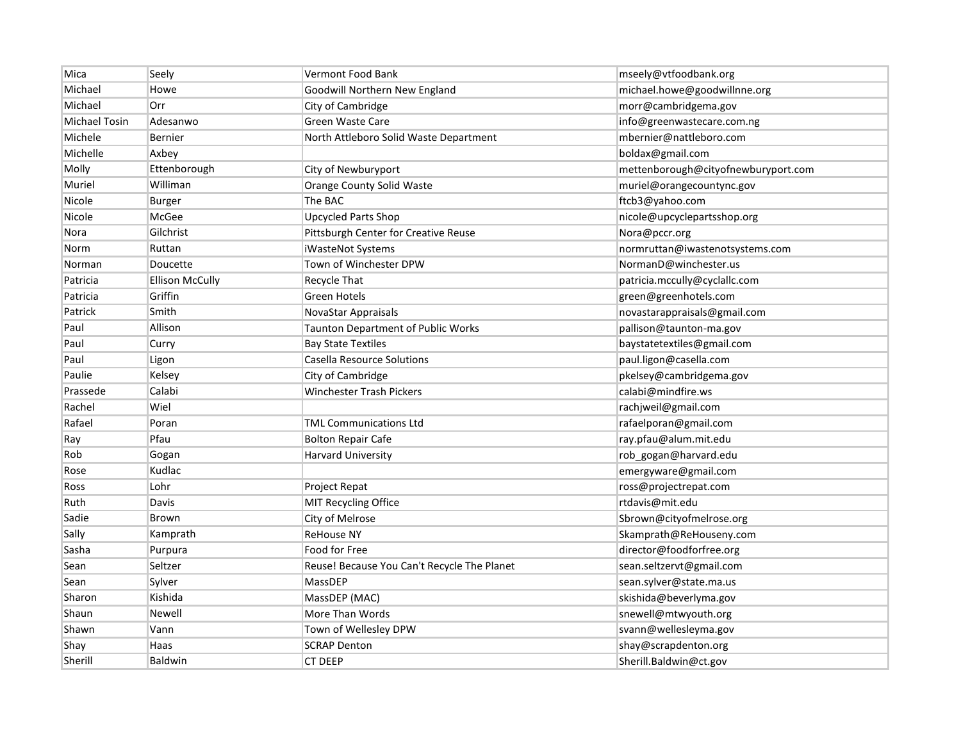| Mica                 | Seely                  | <b>Vermont Food Bank</b>                    | mseely@vtfoodbank.org               |
|----------------------|------------------------|---------------------------------------------|-------------------------------------|
| Michael              | Howe                   | Goodwill Northern New England               | michael.howe@goodwillnne.org        |
| Michael              | Orr                    | City of Cambridge                           | morr@cambridgema.gov                |
| <b>Michael Tosin</b> | Adesanwo               | Green Waste Care                            | info@greenwastecare.com.ng          |
| Michele              | Bernier                | North Attleboro Solid Waste Department      | mbernier@nattleboro.com             |
| Michelle             | Axbey                  |                                             | boldax@gmail.com                    |
| Molly                | Ettenborough           | City of Newburyport                         | mettenborough@cityofnewburyport.com |
| Muriel               | Williman               | Orange County Solid Waste                   | muriel@orangecountync.gov           |
| Nicole               | Burger                 | The BAC                                     | ftcb3@yahoo.com                     |
| Nicole               | McGee                  | <b>Upcycled Parts Shop</b>                  | nicole@upcyclepartsshop.org         |
| Nora                 | Gilchrist              | Pittsburgh Center for Creative Reuse        | Nora@pccr.org                       |
| Norm                 | Ruttan                 | iWasteNot Systems                           | normruttan@iwastenotsystems.com     |
| Norman               | Doucette               | Town of Winchester DPW                      | NormanD@winchester.us               |
| Patricia             | <b>Ellison McCully</b> | Recycle That                                | patricia.mccully@cyclallc.com       |
| Patricia             | Griffin                | <b>Green Hotels</b>                         | green@greenhotels.com               |
| Patrick              | Smith                  | NovaStar Appraisals                         | novastarappraisals@gmail.com        |
| Paul                 | Allison                | Taunton Department of Public Works          | pallison@taunton-ma.gov             |
| Paul                 | Curry                  | <b>Bay State Textiles</b>                   | baystatetextiles@gmail.com          |
| Paul                 | Ligon                  | Casella Resource Solutions                  | paul.ligon@casella.com              |
| Paulie               | Kelsey                 | City of Cambridge                           | pkelsey@cambridgema.gov             |
| Prassede             | Calabi                 | <b>Winchester Trash Pickers</b>             | calabi@mindfire.ws                  |
| Rachel               | Wiel                   |                                             | rachjweil@gmail.com                 |
| Rafael               | Poran                  | <b>TML Communications Ltd</b>               | rafaelporan@gmail.com               |
| Ray                  | Pfau                   | <b>Bolton Repair Cafe</b>                   | ray.pfau@alum.mit.edu               |
| Rob                  | Gogan                  | <b>Harvard University</b>                   | rob_gogan@harvard.edu               |
| Rose                 | Kudlac                 |                                             | emergyware@gmail.com                |
| Ross                 | Lohr                   | Project Repat                               | ross@projectrepat.com               |
| Ruth                 | Davis                  | MIT Recycling Office                        | rtdavis@mit.edu                     |
| Sadie                | Brown                  | City of Melrose                             | Sbrown@cityofmelrose.org            |
| Sally                | Kamprath               | <b>ReHouse NY</b>                           | Skamprath@ReHouseny.com             |
| Sasha                | Purpura                | Food for Free                               | director@foodforfree.org            |
| Sean                 | Seltzer                | Reuse! Because You Can't Recycle The Planet | sean.seltzervt@gmail.com            |
| Sean                 | Sylver                 | MassDEP                                     | sean.sylver@state.ma.us             |
| Sharon               | Kishida                | MassDEP (MAC)                               | skishida@beverlyma.gov              |
| Shaun                | Newell                 | More Than Words                             | snewell@mtwyouth.org                |
| Shawn                | Vann                   | Town of Wellesley DPW                       | svann@wellesleyma.gov               |
| Shay                 | Haas                   | <b>SCRAP Denton</b>                         | shay@scrapdenton.org                |
| Sherill              | Baldwin                | <b>CT DEEP</b>                              | Sherill.Baldwin@ct.gov              |